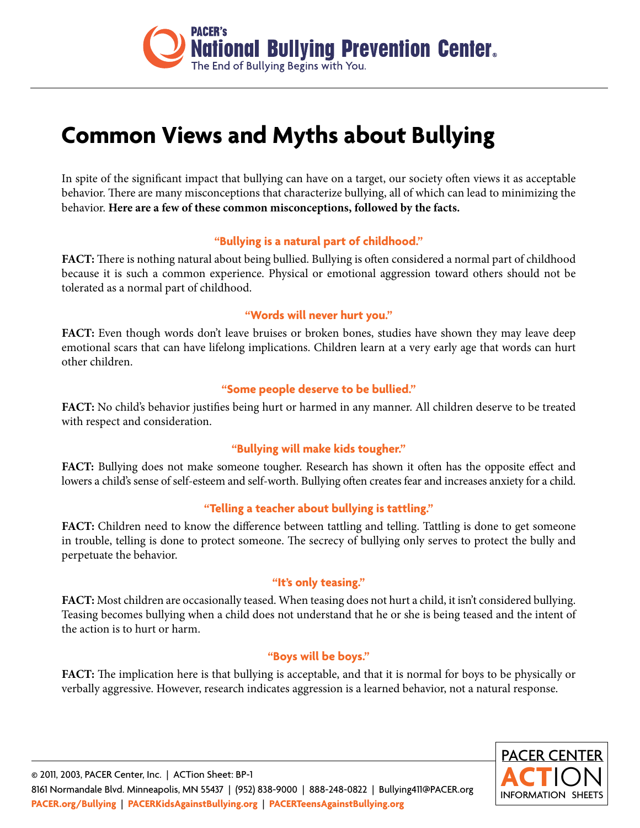

# **Common Views and Myths about Bullying**

In spite of the significant impact that bullying can have on a target, our society often views it as acceptable behavior. There are many misconceptions that characterize bullying, all of which can lead to minimizing the behavior. **Here are a few of these common misconceptions, followed by the facts.**

### **"Bullying is a natural part of childhood."**

**FACT:** There is nothing natural about being bullied. Bullying is often considered a normal part of childhood because it is such a common experience. Physical or emotional aggression toward others should not be tolerated as a normal part of childhood.

#### **"Words will never hurt you."**

FACT: Even though words don't leave bruises or broken bones, studies have shown they may leave deep emotional scars that can have lifelong implications. Children learn at a very early age that words can hurt other children.

### **"Some people deserve to be bullied."**

**FACT:** No child's behavior justifies being hurt or harmed in any manner. All children deserve to be treated with respect and consideration.

### **"Bullying will make kids tougher."**

**FACT:** Bullying does not make someone tougher. Research has shown it often has the opposite effect and lowers a child's sense of self-esteem and self-worth. Bullying often creates fear and increases anxiety for a child.

### **"Telling a teacher about bullying is tattling."**

**FACT:** Children need to know the difference between tattling and telling. Tattling is done to get someone in trouble, telling is done to protect someone. The secrecy of bullying only serves to protect the bully and perpetuate the behavior.

### **"It's only teasing."**

**FACT:** Most children are occasionally teased. When teasing does not hurt a child, it isn't considered bullying. Teasing becomes bullying when a child does not understand that he or she is being teased and the intent of the action is to hurt or harm.

#### **"Boys will be boys."**

**FACT:** The implication here is that bullying is acceptable, and that it is normal for boys to be physically or verbally aggressive. However, research indicates aggression is a learned behavior, not a natural response.